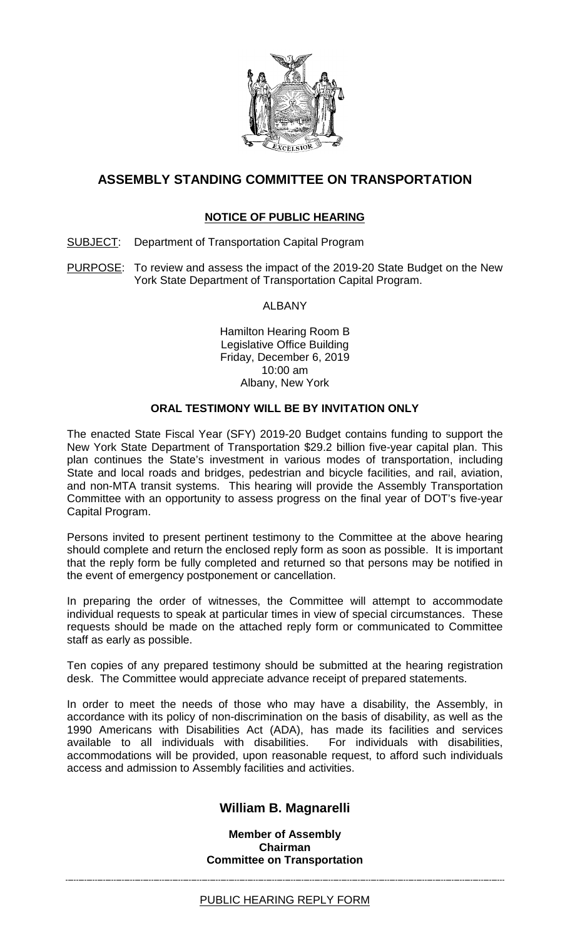

# **ASSEMBLY STANDING COMMITTEE ON TRANSPORTATION**

## **NOTICE OF PUBLIC HEARING**

SUBJECT: Department of Transportation Capital Program

PURPOSE: To review and assess the impact of the 2019-20 State Budget on the New York State Department of Transportation Capital Program.

ALBANY

Hamilton Hearing Room B Legislative Office Building Friday, December 6, 2019 10:00 am Albany, New York

### **ORAL TESTIMONY WILL BE BY INVITATION ONLY**

The enacted State Fiscal Year (SFY) 2019-20 Budget contains funding to support the New York State Department of Transportation \$29.2 billion five-year capital plan. This plan continues the State's investment in various modes of transportation, including State and local roads and bridges, pedestrian and bicycle facilities, and rail, aviation, and non-MTA transit systems. This hearing will provide the Assembly Transportation Committee with an opportunity to assess progress on the final year of DOT's five-year Capital Program.

Persons invited to present pertinent testimony to the Committee at the above hearing should complete and return the enclosed reply form as soon as possible. It is important that the reply form be fully completed and returned so that persons may be notified in the event of emergency postponement or cancellation.

In preparing the order of witnesses, the Committee will attempt to accommodate individual requests to speak at particular times in view of special circumstances. These requests should be made on the attached reply form or communicated to Committee staff as early as possible.

Ten copies of any prepared testimony should be submitted at the hearing registration desk. The Committee would appreciate advance receipt of prepared statements.

In order to meet the needs of those who may have a disability, the Assembly, in accordance with its policy of non-discrimination on the basis of disability, as well as the 1990 Americans with Disabilities Act (ADA), has made its facilities and services available to all individuals with disabilities. accommodations will be provided, upon reasonable request, to afford such individuals access and admission to Assembly facilities and activities.

## **William B. Magnarelli**

**Member of Assembly Chairman Committee on Transportation**

#### PUBLIC HEARING REPLY FORM